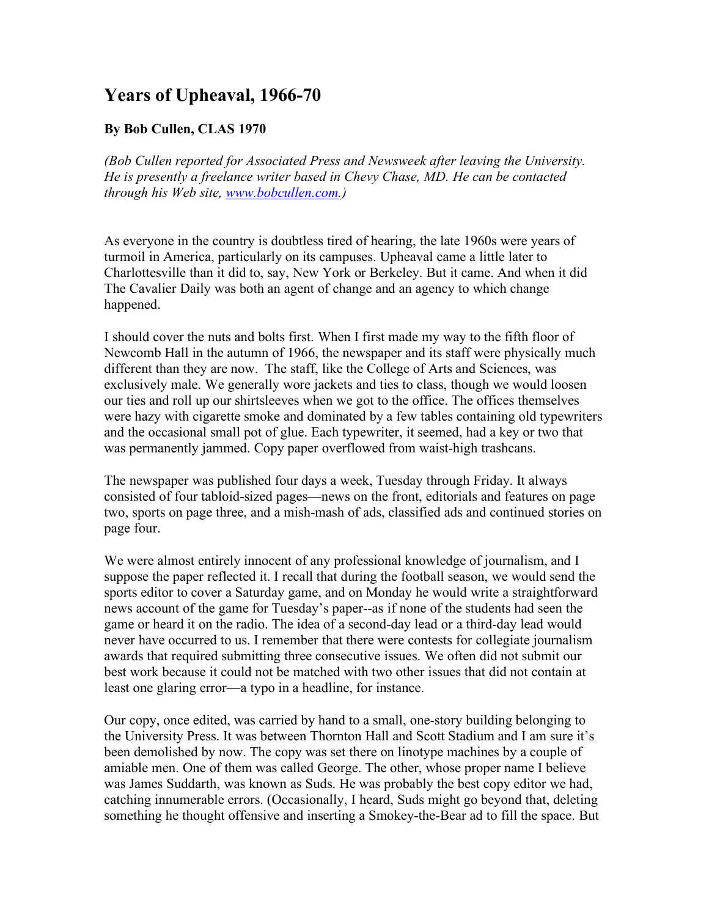## **Years of Upheaval, 1966-70**

## **By Bob Cullen, CLAS 1970**

*(Bob Cullen reported for Associated Press and Newsweek after leaving the University. He is presently a freelance writer based in Chevy Chase, MD. He can be contacted through his Web site, [www.bobcullen.com.](http://www.bobcullen.com/))*

As everyone in the country is doubtless tired of hearing, the late 1960s were years of turmoil in America, particularly on its campuses. Upheaval came a little later to Charlottesville than it did to, say, New York or Berkeley. But it came. And when it did The Cavalier Daily was both an agent of change and an agency to which change happened.

I should cover the nuts and bolts first. When I first made my way to the fifth floor of Newcomb Hall in the autumn of 1966, the newspaper and its staff were physically much different than they are now. The staff, like the College of Arts and Sciences, was exclusively male. We generally wore jackets and ties to class, though we would loosen our ties and roll up our shirtsleeves when we got to the office. The offices themselves were hazy with cigarette smoke and dominated by a few tables containing old typewriters and the occasional small pot of glue. Each typewriter, it seemed, had a key or two that was permanently jammed. Copy paper overflowed from waist-high trashcans.

The newspaper was published four days a week, Tuesday through Friday. It always consisted of four tabloid-sized pages—news on the front, editorials and features on page two, sports on page three, and a mish-mash of ads, classified ads and continued stories on page four.

We were almost entirely innocent of any professional knowledge of journalism, and I suppose the paper reflected it. I recall that during the football season, we would send the sports editor to cover a Saturday game, and on Monday he would write a straightforward news account of the game for Tuesday's paper--as if none of the students had seen the game or heard it on the radio. The idea of a second-day lead or a third-day lead would never have occurred to us. I remember that there were contests for collegiate journalism awards that required submitting three consecutive issues. We often did not submit our best work because it could not be matched with two other issues that did not contain at least one glaring error—a typo in a headline, for instance.

Our copy, once edited, was carried by hand to a small, one-story building belonging to the University Press. It was between Thornton Hall and Scott Stadium and I am sure it's been demolished by now. The copy was set there on linotype machines by a couple of amiable men. One of them was called George. The other, whose proper name I believe was James Suddarth, was known as Suds. He was probably the best copy editor we had, catching innumerable errors. (Occasionally, I heard, Suds might go beyond that, deleting something he thought offensive and inserting a Smokey-the-Bear ad to fill the space. But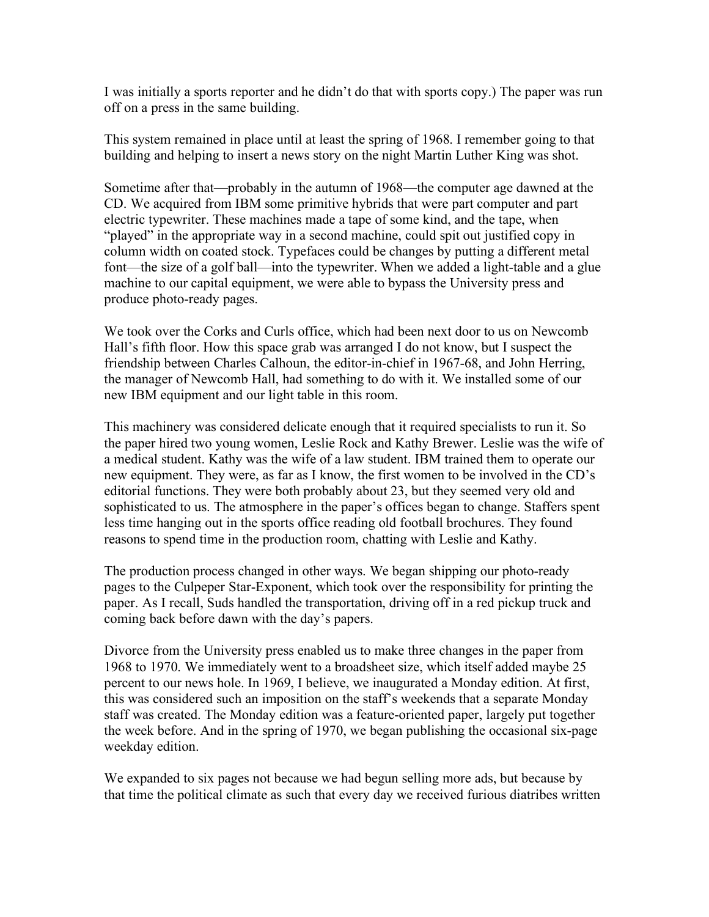I was initially a sports reporter and he didn't do that with sports copy.) The paper was run off on a press in the same building.

This system remained in place until at least the spring of 1968. I remember going to that building and helping to insert a news story on the night Martin Luther King was shot.

Sometime after that—probably in the autumn of 1968—the computer age dawned at the CD. We acquired from IBM some primitive hybrids that were part computer and part electric typewriter. These machines made a tape of some kind, and the tape, when "played" in the appropriate way in a second machine, could spit out justified copy in column width on coated stock. Typefaces could be changes by putting a different metal font—the size of a golf ball—into the typewriter. When we added a light-table and a glue machine to our capital equipment, we were able to bypass the University press and produce photo-ready pages.

We took over the Corks and Curls office, which had been next door to us on Newcomb Hall's fifth floor. How this space grab was arranged I do not know, but I suspect the friendship between Charles Calhoun, the editor-in-chief in 1967-68, and John Herring, the manager of Newcomb Hall, had something to do with it. We installed some of our new IBM equipment and our light table in this room.

This machinery was considered delicate enough that it required specialists to run it. So the paper hired two young women, Leslie Rock and Kathy Brewer. Leslie was the wife of a medical student. Kathy was the wife of a law student. IBM trained them to operate our new equipment. They were, as far as I know, the first women to be involved in the CD's editorial functions. They were both probably about 23, but they seemed very old and sophisticated to us. The atmosphere in the paper's offices began to change. Staffers spent less time hanging out in the sports office reading old football brochures. They found reasons to spend time in the production room, chatting with Leslie and Kathy.

The production process changed in other ways. We began shipping our photo-ready pages to the Culpeper Star-Exponent, which took over the responsibility for printing the paper. As I recall, Suds handled the transportation, driving off in a red pickup truck and coming back before dawn with the day's papers.

Divorce from the University press enabled us to make three changes in the paper from 1968 to 1970. We immediately went to a broadsheet size, which itself added maybe 25 percent to our news hole. In 1969, I believe, we inaugurated a Monday edition. At first, this was considered such an imposition on the staff's weekends that a separate Monday staff was created. The Monday edition was a feature-oriented paper, largely put together the week before. And in the spring of 1970, we began publishing the occasional six-page weekday edition.

We expanded to six pages not because we had begun selling more ads, but because by that time the political climate as such that every day we received furious diatribes written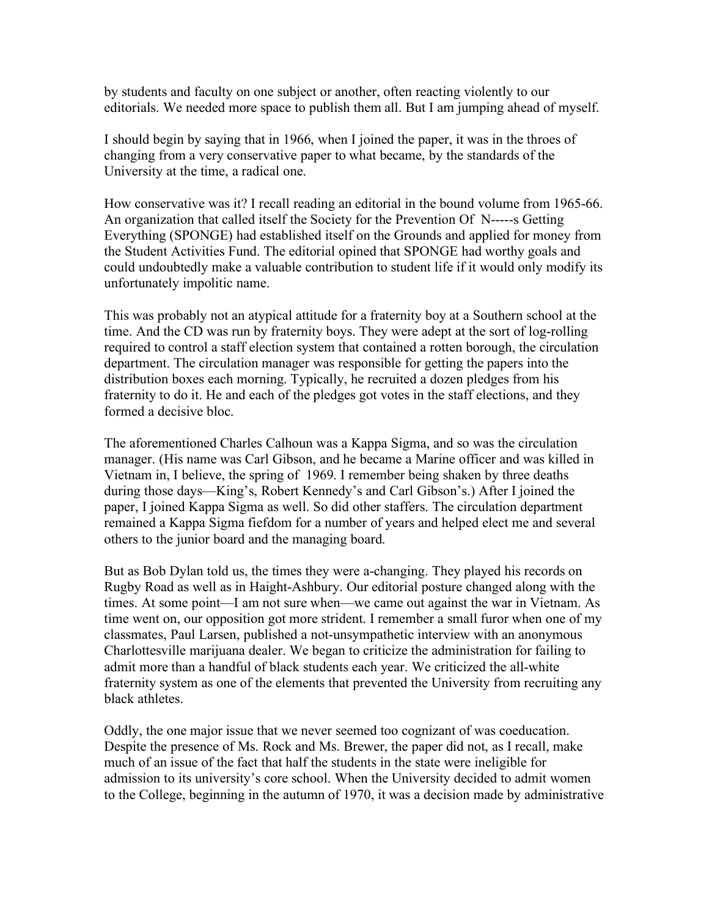by students and faculty on one subject or another, often reacting violently to our editorials. We needed more space to publish them all. But I am jumping ahead of myself.

I should begin by saying that in 1966, when I joined the paper, it was in the throes of changing from a very conservative paper to what became, by the standards of the University at the time, a radical one.

How conservative was it? I recall reading an editorial in the bound volume from 1965-66. An organization that called itself the Society for the Prevention Of N-----s Getting Everything (SPONGE) had established itself on the Grounds and applied for money from the Student Activities Fund. The editorial opined that SPONGE had worthy goals and could undoubtedly make a valuable contribution to student life if it would only modify its unfortunately impolitic name.

This was probably not an atypical attitude for a fraternity boy at a Southern school at the time. And the CD was run by fraternity boys. They were adept at the sort of log-rolling required to control a staff election system that contained a rotten borough, the circulation department. The circulation manager was responsible for getting the papers into the distribution boxes each morning. Typically, he recruited a dozen pledges from his fraternity to do it. He and each of the pledges got votes in the staff elections, and they formed a decisive bloc.

The aforementioned Charles Calhoun was a Kappa Sigma, and so was the circulation manager. (His name was Carl Gibson, and he became a Marine officer and was killed in Vietnam in, I believe, the spring of 1969. I remember being shaken by three deaths during those days—King's, Robert Kennedy's and Carl Gibson's.) After I joined the paper, I joined Kappa Sigma as well. So did other staffers. The circulation department remained a Kappa Sigma fiefdom for a number of years and helped elect me and several others to the junior board and the managing board.

But as Bob Dylan told us, the times they were a-changing. They played his records on Rugby Road as well as in Haight-Ashbury. Our editorial posture changed along with the times. At some point—I am not sure when—we came out against the war in Vietnam. As time went on, our opposition got more strident. I remember a small furor when one of my classmates, Paul Larsen, published a not-unsympathetic interview with an anonymous Charlottesville marijuana dealer. We began to criticize the administration for failing to admit more than a handful of black students each year. We criticized the all-white fraternity system as one of the elements that prevented the University from recruiting any black athletes.

Oddly, the one major issue that we never seemed too cognizant of was coeducation. Despite the presence of Ms. Rock and Ms. Brewer, the paper did not, as I recall, make much of an issue of the fact that half the students in the state were ineligible for admission to its university's core school. When the University decided to admit women to the College, beginning in the autumn of 1970, it was a decision made by administrative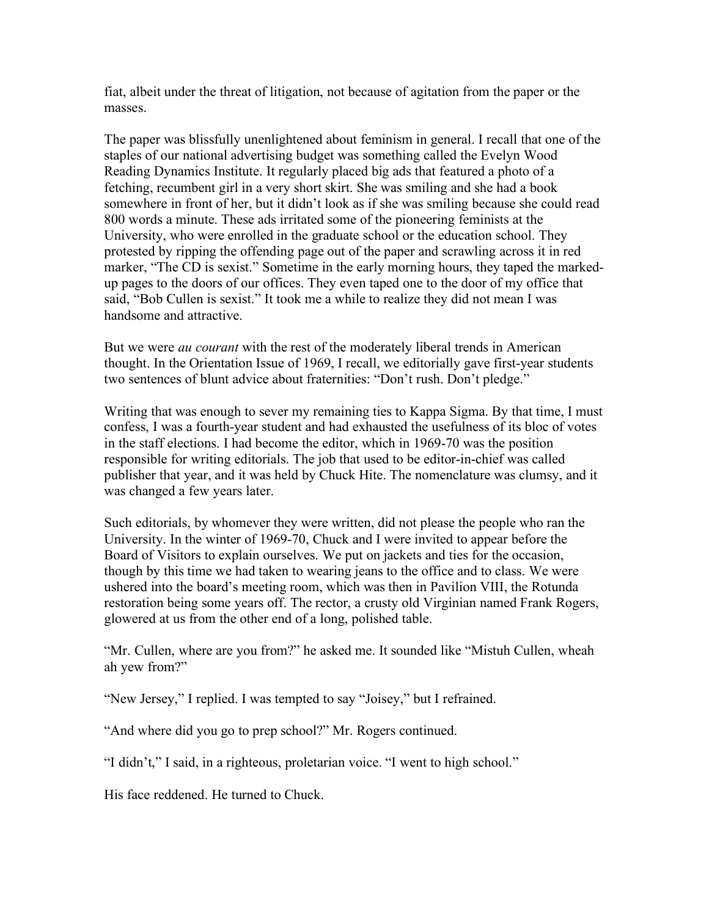fiat, albeit under the threat of litigation, not because of agitation from the paper or the masses.

The paper was blissfully unenlightened about feminism in general. I recall that one of the staples of our national advertising budget was something called the Evelyn Wood Reading Dynamics Institute. It regularly placed big ads that featured a photo of a fetching, recumbent girl in a very short skirt. She was smiling and she had a book somewhere in front of her, but it didn't look as if she was smiling because she could read 800 words a minute. These ads irritated some of the pioneering feminists at the University, who were enrolled in the graduate school or the education school. They protested by ripping the offending page out of the paper and scrawling across it in red marker, "The CD is sexist." Sometime in the early morning hours, they taped the markedup pages to the doors of our offices. They even taped one to the door of my office that said, "Bob Cullen is sexist." It took me a while to realize they did not mean I was handsome and attractive.

But we were *au courant* with the rest of the moderately liberal trends in American thought. In the Orientation Issue of 1969, I recall, we editorially gave first-year students two sentences of blunt advice about fraternities: "Don't rush. Don't pledge."

Writing that was enough to sever my remaining ties to Kappa Sigma. By that time, I must confess, I was a fourth-year student and had exhausted the usefulness of its bloc of votes in the staff elections. I had become the editor, which in 1969-70 was the position responsible for writing editorials. The job that used to be editor-in-chief was called publisher that year, and it was held by Chuck Hite. The nomenclature was clumsy, and it was changed a few years later.

Such editorials, by whomever they were written, did not please the people who ran the University. In the winter of 1969-70, Chuck and I were invited to appear before the Board of Visitors to explain ourselves. We put on jackets and ties for the occasion, though by this time we had taken to wearing jeans to the office and to class. We were ushered into the board's meeting room, which was then in Pavilion VIII, the Rotunda restoration being some years off. The rector, a crusty old Virginian named Frank Rogers, glowered at us from the other end of a long, polished table.

"Mr. Cullen, where are you from?" he asked me. It sounded like "Mistuh Cullen, wheah ah yew from?"

"New Jersey," I replied. I was tempted to say "Joisey," but I refrained.

"And where did you go to prep school?" Mr. Rogers continued.

"I didn't," I said, in a righteous, proletarian voice. "I went to high school."

His face reddened. He turned to Chuck.